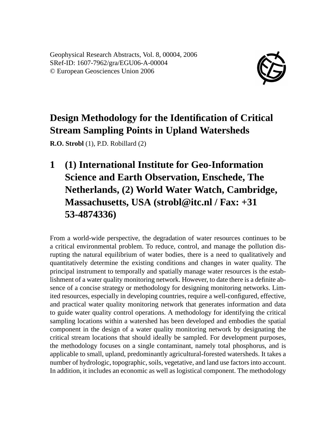Geophysical Research Abstracts, Vol. 8, 00004, 2006 SRef-ID: 1607-7962/gra/EGU06-A-00004 © European Geosciences Union 2006



## **Design Methodology for the Identification of Critical Stream Sampling Points in Upland Watersheds**

**R.O. Strobl** (1), P.D. Robillard (2)

**1 (1) International Institute for Geo-Information Science and Earth Observation, Enschede, The Netherlands, (2) World Water Watch, Cambridge, Massachusetts, USA (strobl@itc.nl / Fax: +31 53-4874336)**

From a world-wide perspective, the degradation of water resources continues to be a critical environmental problem. To reduce, control, and manage the pollution disrupting the natural equilibrium of water bodies, there is a need to qualitatively and quantitatively determine the existing conditions and changes in water quality. The principal instrument to temporally and spatially manage water resources is the establishment of a water quality monitoring network. However, to date there is a definite absence of a concise strategy or methodology for designing monitoring networks. Limited resources, especially in developing countries, require a well-configured, effective, and practical water quality monitoring network that generates information and data to guide water quality control operations. A methodology for identifying the critical sampling locations within a watershed has been developed and embodies the spatial component in the design of a water quality monitoring network by designating the critical stream locations that should ideally be sampled. For development purposes, the methodology focuses on a single contaminant, namely total phosphorus, and is applicable to small, upland, predominantly agricultural-forested watersheds. It takes a number of hydrologic, topographic, soils, vegetative, and land use factors into account. In addition, it includes an economic as well as logistical component. The methodology